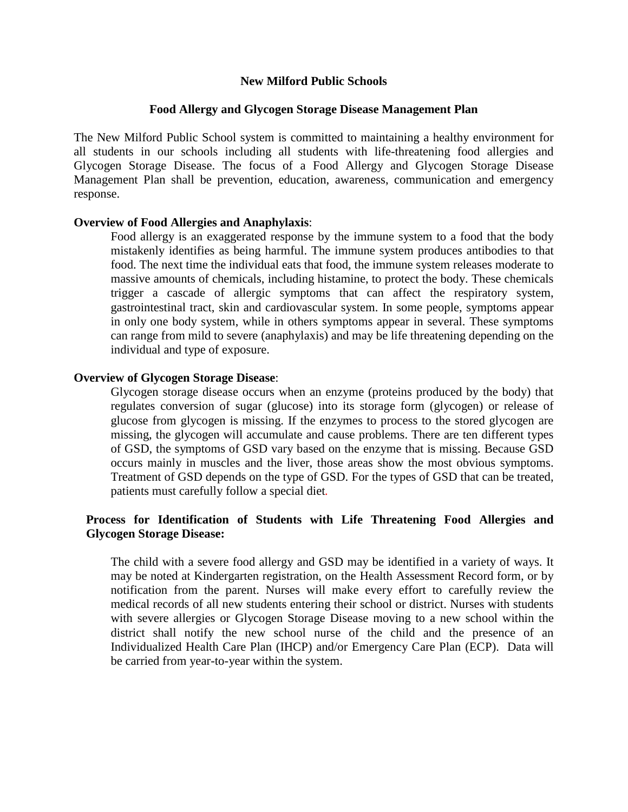#### **New Milford Public Schools**

#### **Food Allergy and Glycogen Storage Disease Management Plan**

The New Milford Public School system is committed to maintaining a healthy environment for all students in our schools including all students with life-threatening food allergies and Glycogen Storage Disease. The focus of a Food Allergy and Glycogen Storage Disease Management Plan shall be prevention, education, awareness, communication and emergency response.

#### **Overview of Food Allergies and Anaphylaxis**:

Food allergy is an exaggerated response by the immune system to a food that the body mistakenly identifies as being harmful. The immune system produces antibodies to that food. The next time the individual eats that food, the immune system releases moderate to massive amounts of chemicals, including histamine, to protect the body. These chemicals trigger a cascade of allergic symptoms that can affect the respiratory system, gastrointestinal tract, skin and cardiovascular system. In some people, symptoms appear in only one body system, while in others symptoms appear in several. These symptoms can range from mild to severe (anaphylaxis) and may be life threatening depending on the individual and type of exposure.

#### **Overview of Glycogen Storage Disease**:

Glycogen storage disease occurs when an enzyme (proteins produced by the body) that regulates conversion of sugar (glucose) into its storage form (glycogen) or release of glucose from glycogen is missing. If the enzymes to process to the stored glycogen are missing, the glycogen will accumulate and cause problems. There are ten different types of GSD, the symptoms of GSD vary based on the enzyme that is missing. Because GSD occurs mainly in muscles and the liver, those areas show the most obvious symptoms. Treatment of GSD depends on the type of GSD. For the types of GSD that can be treated, patients must carefully follow a special diet*.*

### **Process for Identification of Students with Life Threatening Food Allergies and Glycogen Storage Disease:**

The child with a severe food allergy and GSD may be identified in a variety of ways. It may be noted at Kindergarten registration, on the Health Assessment Record form, or by notification from the parent. Nurses will make every effort to carefully review the medical records of all new students entering their school or district. Nurses with students with severe allergies or Glycogen Storage Disease moving to a new school within the district shall notify the new school nurse of the child and the presence of an Individualized Health Care Plan (IHCP) and/or Emergency Care Plan (ECP). Data will be carried from year-to-year within the system.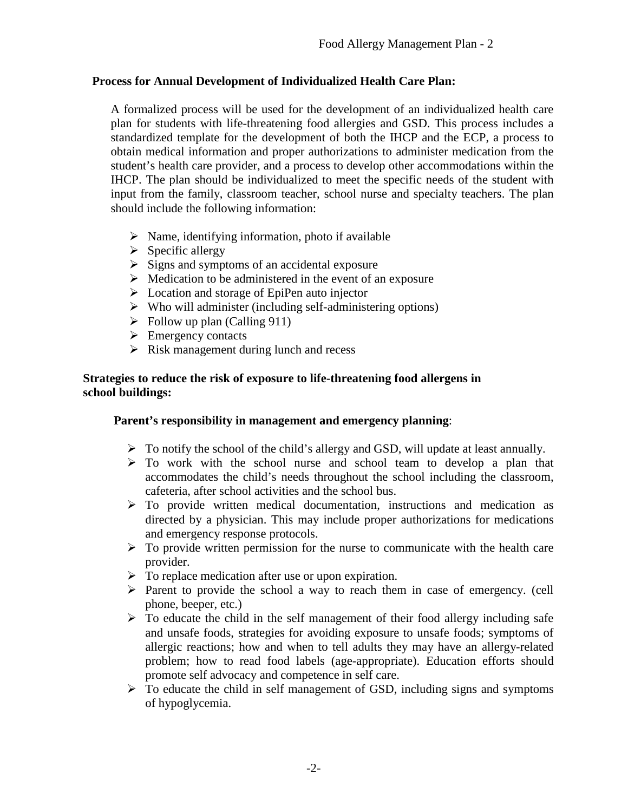# **Process for Annual Development of Individualized Health Care Plan:**

A formalized process will be used for the development of an individualized health care plan for students with life-threatening food allergies and GSD. This process includes a standardized template for the development of both the IHCP and the ECP, a process to obtain medical information and proper authorizations to administer medication from the student's health care provider, and a process to develop other accommodations within the IHCP. The plan should be individualized to meet the specific needs of the student with input from the family, classroom teacher, school nurse and specialty teachers. The plan should include the following information:

- $\triangleright$  Name, identifying information, photo if available
- $\triangleright$  Specific allergy
- $\triangleright$  Signs and symptoms of an accidental exposure
- $\triangleright$  Medication to be administered in the event of an exposure
- $\triangleright$  Location and storage of EpiPen auto injector
- $\triangleright$  Who will administer (including self-administering options)
- $\triangleright$  Follow up plan (Calling 911)
- $\triangleright$  Emergency contacts
- $\triangleright$  Risk management during lunch and recess

### **Strategies to reduce the risk of exposure to life-threatening food allergens in school buildings:**

#### **Parent's responsibility in management and emergency planning**:

- $\triangleright$  To notify the school of the child's allergy and GSD, will update at least annually.
- $\triangleright$  To work with the school nurse and school team to develop a plan that accommodates the child's needs throughout the school including the classroom, cafeteria, after school activities and the school bus.
- $\triangleright$  To provide written medical documentation, instructions and medication as directed by a physician. This may include proper authorizations for medications and emergency response protocols.
- $\triangleright$  To provide written permission for the nurse to communicate with the health care provider.
- $\triangleright$  To replace medication after use or upon expiration.
- $\triangleright$  Parent to provide the school a way to reach them in case of emergency. (cell phone, beeper, etc.)
- $\triangleright$  To educate the child in the self management of their food allergy including safe and unsafe foods, strategies for avoiding exposure to unsafe foods; symptoms of allergic reactions; how and when to tell adults they may have an allergy-related problem; how to read food labels (age-appropriate). Education efforts should promote self advocacy and competence in self care.
- $\triangleright$  To educate the child in self management of GSD, including signs and symptoms of hypoglycemia.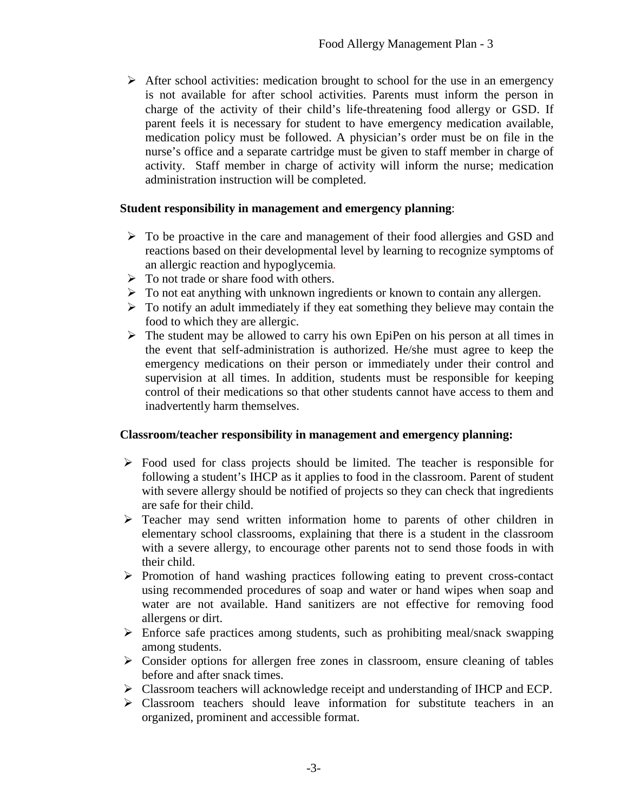$\triangleright$  After school activities: medication brought to school for the use in an emergency is not available for after school activities. Parents must inform the person in charge of the activity of their child's life-threatening food allergy or GSD. If parent feels it is necessary for student to have emergency medication available, medication policy must be followed. A physician's order must be on file in the nurse's office and a separate cartridge must be given to staff member in charge of activity. Staff member in charge of activity will inform the nurse; medication administration instruction will be completed.

#### **Student responsibility in management and emergency planning**:

- To be proactive in the care and management of their food allergies and GSD and reactions based on their developmental level by learning to recognize symptoms of an allergic reaction and hypoglycemia*.*
- $\triangleright$  To not trade or share food with others.
- To not eat anything with unknown ingredients or known to contain any allergen.
- $\triangleright$  To notify an adult immediately if they eat something they believe may contain the food to which they are allergic.
- $\triangleright$  The student may be allowed to carry his own EpiPen on his person at all times in the event that self-administration is authorized. He/she must agree to keep the emergency medications on their person or immediately under their control and supervision at all times. In addition, students must be responsible for keeping control of their medications so that other students cannot have access to them and inadvertently harm themselves.

#### **Classroom/teacher responsibility in management and emergency planning:**

- $\triangleright$  Food used for class projects should be limited. The teacher is responsible for following a student's IHCP as it applies to food in the classroom. Parent of student with severe allergy should be notified of projects so they can check that ingredients are safe for their child.
- Teacher may send written information home to parents of other children in elementary school classrooms, explaining that there is a student in the classroom with a severe allergy, to encourage other parents not to send those foods in with their child.
- $\triangleright$  Promotion of hand washing practices following eating to prevent cross-contact using recommended procedures of soap and water or hand wipes when soap and water are not available. Hand sanitizers are not effective for removing food allergens or dirt.
- $\triangleright$  Enforce safe practices among students, such as prohibiting meal/snack swapping among students.
- $\triangleright$  Consider options for allergen free zones in classroom, ensure cleaning of tables before and after snack times.
- Classroom teachers will acknowledge receipt and understanding of IHCP and ECP.
- Classroom teachers should leave information for substitute teachers in an organized, prominent and accessible format.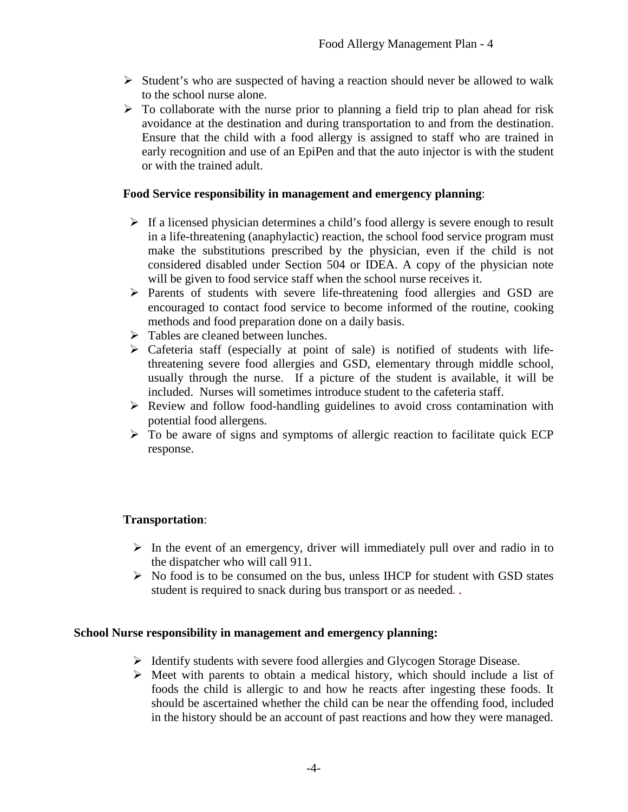- $\triangleright$  Student's who are suspected of having a reaction should never be allowed to walk to the school nurse alone.
- $\triangleright$  To collaborate with the nurse prior to planning a field trip to plan ahead for risk avoidance at the destination and during transportation to and from the destination. Ensure that the child with a food allergy is assigned to staff who are trained in early recognition and use of an EpiPen and that the auto injector is with the student or with the trained adult.

## **Food Service responsibility in management and emergency planning**:

- $\triangleright$  If a licensed physician determines a child's food allergy is severe enough to result in a life-threatening (anaphylactic) reaction, the school food service program must make the substitutions prescribed by the physician, even if the child is not considered disabled under Section 504 or IDEA. A copy of the physician note will be given to food service staff when the school nurse receives it.
- $\triangleright$  Parents of students with severe life-threatening food allergies and GSD are encouraged to contact food service to become informed of the routine, cooking methods and food preparation done on a daily basis.
- $\triangleright$  Tables are cleaned between lunches.
- $\triangleright$  Cafeteria staff (especially at point of sale) is notified of students with lifethreatening severe food allergies and GSD, elementary through middle school, usually through the nurse. If a picture of the student is available, it will be included. Nurses will sometimes introduce student to the cafeteria staff.
- $\triangleright$  Review and follow food-handling guidelines to avoid cross contamination with potential food allergens.
- $\triangleright$  To be aware of signs and symptoms of allergic reaction to facilitate quick ECP response.

# **Transportation**:

- $\triangleright$  In the event of an emergency, driver will immediately pull over and radio in to the dispatcher who will call 911.
- $\triangleright$  No food is to be consumed on the bus, unless IHCP for student with GSD states student is required to snack during bus transport or as needed*.* .

#### **School Nurse responsibility in management and emergency planning:**

- $\triangleright$  Identify students with severe food allergies and Glycogen Storage Disease.
- $\triangleright$  Meet with parents to obtain a medical history, which should include a list of foods the child is allergic to and how he reacts after ingesting these foods. It should be ascertained whether the child can be near the offending food, included in the history should be an account of past reactions and how they were managed.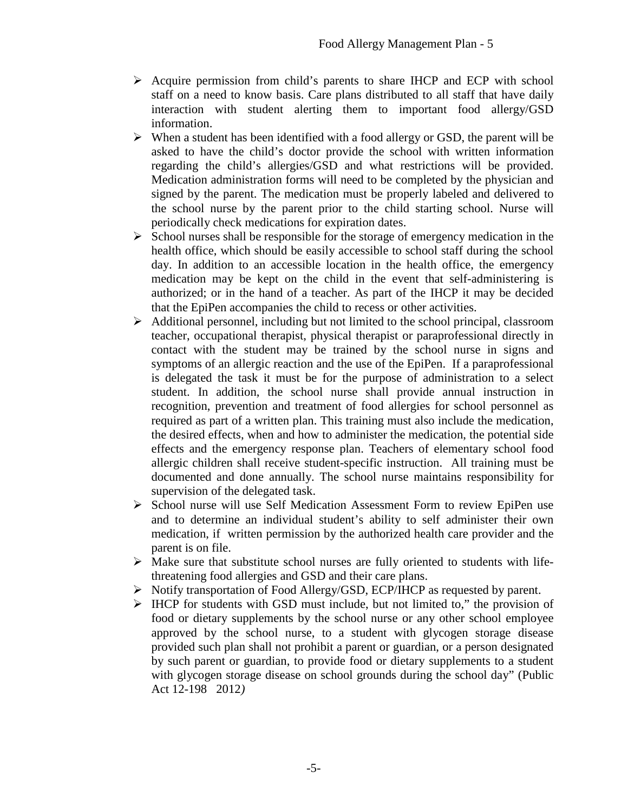- $\triangleright$  Acquire permission from child's parents to share IHCP and ECP with school staff on a need to know basis. Care plans distributed to all staff that have daily interaction with student alerting them to important food allergy/GSD information.
- $\triangleright$  When a student has been identified with a food allergy or GSD, the parent will be asked to have the child's doctor provide the school with written information regarding the child's allergies/GSD and what restrictions will be provided. Medication administration forms will need to be completed by the physician and signed by the parent. The medication must be properly labeled and delivered to the school nurse by the parent prior to the child starting school. Nurse will periodically check medications for expiration dates.
- $\triangleright$  School nurses shall be responsible for the storage of emergency medication in the health office, which should be easily accessible to school staff during the school day. In addition to an accessible location in the health office, the emergency medication may be kept on the child in the event that self-administering is authorized; or in the hand of a teacher. As part of the IHCP it may be decided that the EpiPen accompanies the child to recess or other activities.
- $\triangleright$  Additional personnel, including but not limited to the school principal, classroom teacher, occupational therapist, physical therapist or paraprofessional directly in contact with the student may be trained by the school nurse in signs and symptoms of an allergic reaction and the use of the EpiPen. If a paraprofessional is delegated the task it must be for the purpose of administration to a select student. In addition, the school nurse shall provide annual instruction in recognition, prevention and treatment of food allergies for school personnel as required as part of a written plan. This training must also include the medication, the desired effects, when and how to administer the medication, the potential side effects and the emergency response plan. Teachers of elementary school food allergic children shall receive student-specific instruction. All training must be documented and done annually. The school nurse maintains responsibility for supervision of the delegated task.
- School nurse will use Self Medication Assessment Form to review EpiPen use and to determine an individual student's ability to self administer their own medication, if written permission by the authorized health care provider and the parent is on file.
- $\triangleright$  Make sure that substitute school nurses are fully oriented to students with lifethreatening food allergies and GSD and their care plans.
- Notify transportation of Food Allergy/GSD, ECP/IHCP as requested by parent.
- $\triangleright$  IHCP for students with GSD must include, but not limited to," the provision of food or dietary supplements by the school nurse or any other school employee approved by the school nurse, to a student with glycogen storage disease provided such plan shall not prohibit a parent or guardian, or a person designated by such parent or guardian, to provide food or dietary supplements to a student with glycogen storage disease on school grounds during the school day" (Public Act 12-198 2012*)*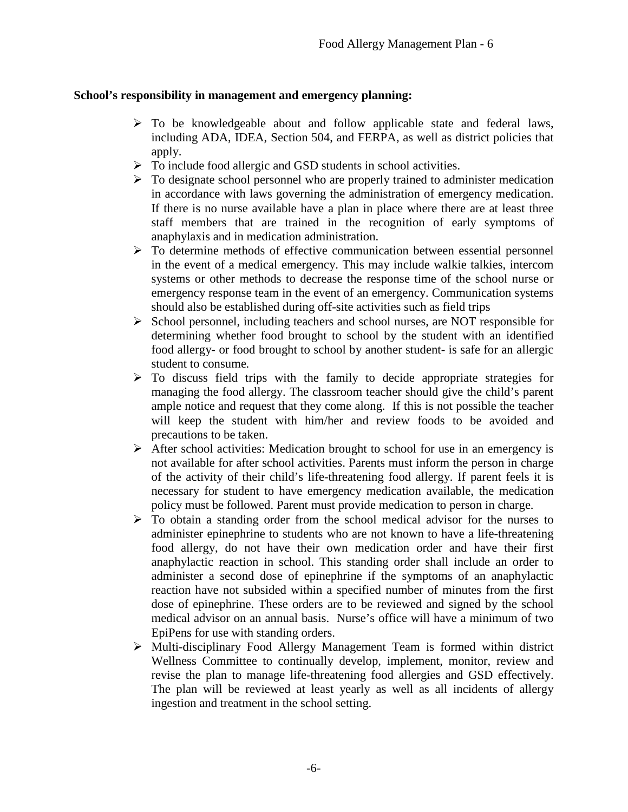### **School's responsibility in management and emergency planning:**

- $\triangleright$  To be knowledgeable about and follow applicable state and federal laws, including ADA, IDEA, Section 504, and FERPA, as well as district policies that apply.
- > To include food allergic and GSD students in school activities.
- $\triangleright$  To designate school personnel who are properly trained to administer medication in accordance with laws governing the administration of emergency medication. If there is no nurse available have a plan in place where there are at least three staff members that are trained in the recognition of early symptoms of anaphylaxis and in medication administration.
- $\triangleright$  To determine methods of effective communication between essential personnel in the event of a medical emergency. This may include walkie talkies, intercom systems or other methods to decrease the response time of the school nurse or emergency response team in the event of an emergency. Communication systems should also be established during off-site activities such as field trips
- $\triangleright$  School personnel, including teachers and school nurses, are NOT responsible for determining whether food brought to school by the student with an identified food allergy- or food brought to school by another student- is safe for an allergic student to consume*.*
- $\triangleright$  To discuss field trips with the family to decide appropriate strategies for managing the food allergy. The classroom teacher should give the child's parent ample notice and request that they come along. If this is not possible the teacher will keep the student with him/her and review foods to be avoided and precautions to be taken.
- $\triangleright$  After school activities: Medication brought to school for use in an emergency is not available for after school activities. Parents must inform the person in charge of the activity of their child's life-threatening food allergy. If parent feels it is necessary for student to have emergency medication available, the medication policy must be followed. Parent must provide medication to person in charge.
- $\triangleright$  To obtain a standing order from the school medical advisor for the nurses to administer epinephrine to students who are not known to have a life-threatening food allergy, do not have their own medication order and have their first anaphylactic reaction in school. This standing order shall include an order to administer a second dose of epinephrine if the symptoms of an anaphylactic reaction have not subsided within a specified number of minutes from the first dose of epinephrine. These orders are to be reviewed and signed by the school medical advisor on an annual basis. Nurse's office will have a minimum of two EpiPens for use with standing orders.
- Multi-disciplinary Food Allergy Management Team is formed within district Wellness Committee to continually develop, implement, monitor, review and revise the plan to manage life-threatening food allergies and GSD effectively. The plan will be reviewed at least yearly as well as all incidents of allergy ingestion and treatment in the school setting.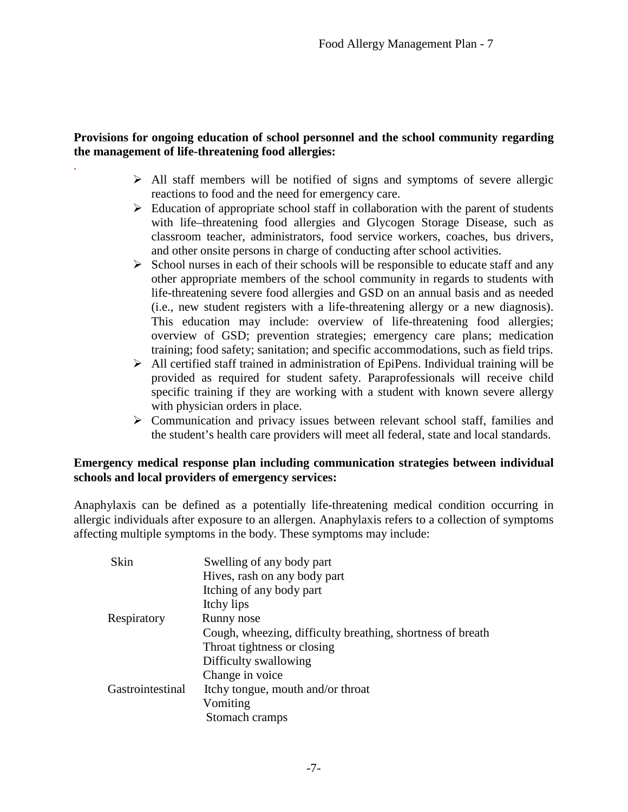# **Provisions for ongoing education of school personnel and the school community regarding the management of life-threatening food allergies:**

*.*

- $\triangleright$  All staff members will be notified of signs and symptoms of severe allergic reactions to food and the need for emergency care.
- $\triangleright$  Education of appropriate school staff in collaboration with the parent of students with life–threatening food allergies and Glycogen Storage Disease, such as classroom teacher, administrators, food service workers, coaches, bus drivers, and other onsite persons in charge of conducting after school activities.
- $\triangleright$  School nurses in each of their schools will be responsible to educate staff and any other appropriate members of the school community in regards to students with life-threatening severe food allergies and GSD on an annual basis and as needed (i.e., new student registers with a life-threatening allergy or a new diagnosis). This education may include: overview of life-threatening food allergies; overview of GSD; prevention strategies; emergency care plans; medication training; food safety; sanitation; and specific accommodations, such as field trips.
- $\triangleright$  All certified staff trained in administration of EpiPens. Individual training will be provided as required for student safety. Paraprofessionals will receive child specific training if they are working with a student with known severe allergy with physician orders in place.
- Communication and privacy issues between relevant school staff, families and the student's health care providers will meet all federal, state and local standards.

### **Emergency medical response plan including communication strategies between individual schools and local providers of emergency services:**

Anaphylaxis can be defined as a potentially life-threatening medical condition occurring in allergic individuals after exposure to an allergen. Anaphylaxis refers to a collection of symptoms affecting multiple symptoms in the body. These symptoms may include:

| Swelling of any body part                                  |
|------------------------------------------------------------|
| Hives, rash on any body part                               |
| Itching of any body part                                   |
| Itchy lips                                                 |
| Runny nose                                                 |
| Cough, wheezing, difficulty breathing, shortness of breath |
| Throat tightness or closing                                |
| Difficulty swallowing                                      |
| Change in voice                                            |
| Itchy tongue, mouth and/or throat                          |
| Vomiting                                                   |
| Stomach cramps                                             |
|                                                            |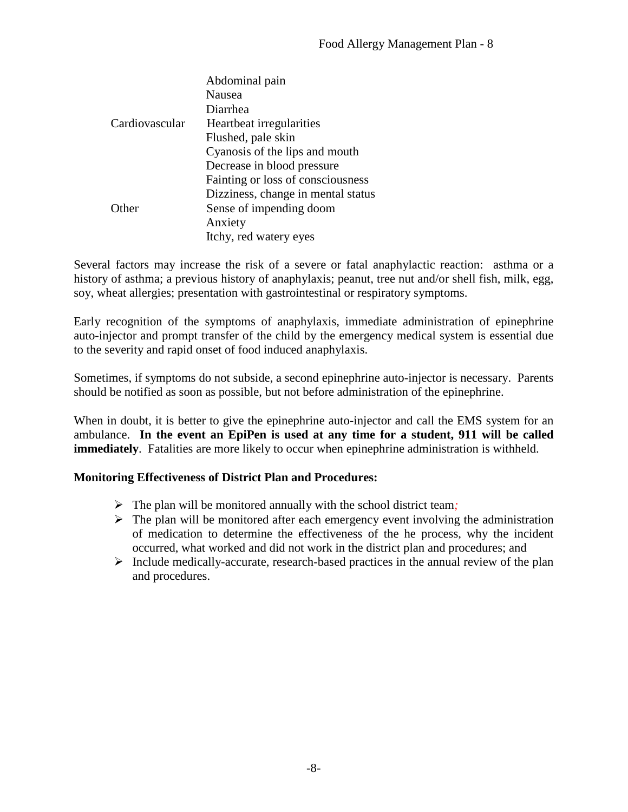|                | Abdominal pain                     |
|----------------|------------------------------------|
|                | Nausea                             |
|                | Diarrhea                           |
| Cardiovascular | Heartbeat irregularities           |
|                | Flushed, pale skin                 |
|                | Cyanosis of the lips and mouth     |
|                | Decrease in blood pressure         |
|                | Fainting or loss of consciousness  |
|                | Dizziness, change in mental status |
| Other          | Sense of impending doom            |
|                | Anxiety                            |
|                | Itchy, red watery eyes             |
|                |                                    |

Several factors may increase the risk of a severe or fatal anaphylactic reaction: asthma or a history of asthma; a previous history of anaphylaxis; peanut, tree nut and/or shell fish, milk, egg, soy, wheat allergies; presentation with gastrointestinal or respiratory symptoms.

Early recognition of the symptoms of anaphylaxis, immediate administration of epinephrine auto-injector and prompt transfer of the child by the emergency medical system is essential due to the severity and rapid onset of food induced anaphylaxis.

Sometimes, if symptoms do not subside, a second epinephrine auto-injector is necessary. Parents should be notified as soon as possible, but not before administration of the epinephrine.

When in doubt, it is better to give the epinephrine auto-injector and call the EMS system for an ambulance. **In the event an EpiPen is used at any time for a student, 911 will be called immediately**. Fatalities are more likely to occur when epinephrine administration is withheld.

# **Monitoring Effectiveness of District Plan and Procedures:**

- The plan will be monitored annually with the school district team*;*
- $\triangleright$  The plan will be monitored after each emergency event involving the administration of medication to determine the effectiveness of the he process, why the incident occurred, what worked and did not work in the district plan and procedures; and
- $\triangleright$  Include medically-accurate, research-based practices in the annual review of the plan and procedures.